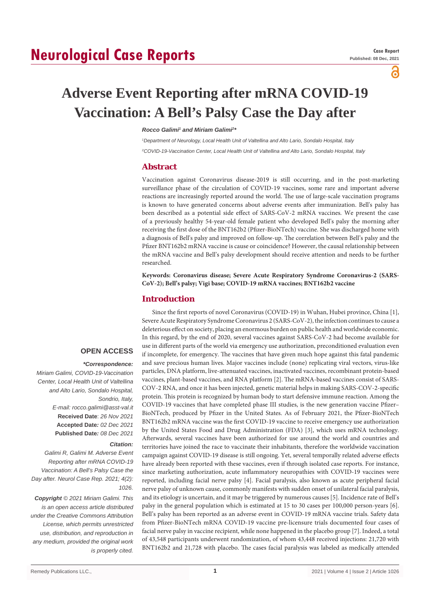# **Neurological Case Reports**

പ

# **Adverse Event Reporting after mRNA COVID-19 Vaccination: A Bell's Palsy Case the Day after**

#### **Rocco Galimi<sup>1</sup> and Miriam Galimi<sup>2</sup>**

*1 Department of Neurology, Local Health Unit of Valtellina and Alto Lario, Sondalo Hospital, Italy 2 COVID-19-Vaccination Center, Local Health Unit of Valtellina and Alto Lario, Sondalo Hospital, Italy*

### **Abstract**

Vaccination against Coronavirus disease-2019 is still occurring, and in the post-marketing surveillance phase of the circulation of COVID-19 vaccines, some rare and important adverse reactions are increasingly reported around the world. The use of large-scale vaccination programs is known to have generated concerns about adverse events after immunization. Bell's palsy has been described as a potential side effect of SARS-CoV-2 mRNA vaccines. We present the case of a previously healthy 54-year-old female patient who developed Bell's palsy the morning after receiving the first dose of the BNT162b2 (Pfizer-BioNTech) vaccine. She was discharged home with a diagnosis of Bell's palsy and improved on follow-up. The correlation between Bell's palsy and the Pfizer BNT162b2 mRNA vaccine is cause or coincidence? However, the causal relationship between the mRNA vaccine and Bell's palsy development should receive attention and needs to be further researched.

**Keywords: Coronavirus disease; Severe Acute Respiratory Syndrome Coronavirus-2 (SARS-CoV-2); Bell's palsy; Vigi base; COVID-19 mRNA vaccines; BNT162b2 vaccine**

# **Introduction**

Since the first reports of novel Coronavirus (COVID-19) in Wuhan, Hubei province, China [1], Severe Acute Respiratory Syndrome Coronavirus 2 (SARS-CoV-2), the infection continues to cause a deleterious effect on society, placing an enormous burden on public health and worldwide economic. In this regard, by the end of 2020, several vaccines against SARS-CoV-2 had become available for use in different parts of the world via emergency use authorization, preconditioned evaluation even if incomplete, for emergency. The vaccines that have given much hope against this fatal pandemic and save precious human lives. Major vaccines include (none) replicating viral vectors, virus-like particles, DNA platform, live-attenuated vaccines, inactivated vaccines, recombinant protein-based vaccines, plant-based vaccines, and RNA platform [2]. The mRNA-based vaccines consist of SARS-COV-2 RNA, and once it has been injected, genetic material helps in making SARS-COV-2-specific protein. This protein is recognized by human body to start defensive immune reaction. Among the COVID-19 vaccines that have completed phase III studies, is the new generation vaccine Pfizer– BioNTech, produced by Pfizer in the United States. As of February 2021, the Pfizer-BioNTech BNT162b2 mRNA vaccine was the first COVID-19 vaccine to receive emergency use authorization by the United States Food and Drug Administration (FDA) [3], which uses mRNA technology. Afterwards, several vaccines have been authorized for use around the world and countries and territories have joined the race to vaccinate their inhabitants, therefore the worldwide vaccination campaign against COVID-19 disease is still ongoing. Yet, several temporally related adverse effects have already been reported with these vaccines, even if through isolated case reports. For instance, since marketing authorization, acute inflammatory neuropathies with COVID-19 vaccines were reported, including facial nerve palsy [4]. Facial paralysis, also known as acute peripheral facial nerve palsy of unknown cause, commonly manifests with sudden onset of unilateral facial paralysis, and its etiology is uncertain, and it may be triggered by numerous causes [5]. Incidence rate of Bell's palsy in the general population which is estimated at 15 to 30 cases per 100,000 person-years [6]. Bell's palsy has been reported as an adverse event in COVID-19 mRNA vaccine trials. Safety data from Pfizer-BioNTech mRNA COVID-19 vaccine pre-licensure trials documented four cases of facial nerve palsy in vaccine recipient, while none happened in the placebo group [7]. Indeed, a total of 43,548 participants underwent randomization, of whom 43,448 received injections: 21,720 with BNT162b2 and 21,728 with placebo. The cases facial paralysis was labeled as medically attended

# **OPEN ACCESS**

#### *\*Correspondence:*

*Miriam Galimi, COVID-19-Vaccination Center, Local Health Unit of Valtellina and Alto Lario, Sondalo Hospital, Sondrio, Italy, E-mail: rocco.galimi@asst-val.it* **Received Date**: *26 Nov 2021* **Accepted Date***: 02 Dec 2021* **Published Date***: 08 Dec 2021*

#### *Citation:*

*Galimi R, Galimi M. Adverse Event Reporting after mRNA COVID-19 Vaccination: A Bell's Palsy Case the Day after. Neurol Case Rep. 2021; 4(2): 1026.*

*Copyright © 2021 Miriam Galimi. This is an open access article distributed under the Creative Commons Attribution License, which permits unrestricted use, distribution, and reproduction in any medium, provided the original work is properly cited.*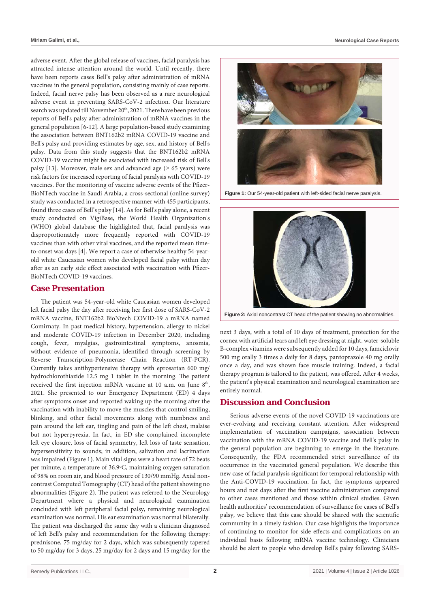adverse event. After the global release of vaccines, facial paralysis has attracted intense attention around the world. Until recently, there have been reports cases Bell's palsy after administration of mRNA vaccines in the general population, consisting mainly of case reports. Indeed, facial nerve palsy has been observed as a rare neurological adverse event in preventing SARS-CoV-2 infection. Our literature search was updated till November 20<sup>th</sup>, 2021. There have been previous reports of Bell's palsy after administration of mRNA vaccines in the general population [6-12]. A large population-based study examining the association between BNT162b2 mRNA COVID-19 vaccine and Bell's palsy and providing estimates by age, sex, and history of Bell's palsy. Data from this study suggests that the BNT162b2 mRNA COVID-19 vaccine might be associated with increased risk of Bell's palsy [13]. Moreover, male sex and advanced age ( $\geq 65$  years) were risk factors for increased reporting of facial paralysis with COVID-19 vaccines. For the monitoring of vaccine adverse events of the Pfizer-BioNTech vaccine in Saudi Arabia, a cross-sectional (online survey) study was conducted in a retrospective manner with 455 participants, found three cases of Bell's palsy [14]. As for Bell's palsy alone, a recent study conducted on VigiBase, the World Health Organization's (WHO) global database the highlighted that, facial paralysis was disproportionately more frequently reported with COVID-19 vaccines than with other viral vaccines, and the reported mean timeto-onset was days [4]. We report a case of otherwise healthy 54-yearold white Caucasian women who developed facial palsy within day after as an early side effect associated with vaccination with Pfizer-BioNTech COVID-19 vaccines.

### **Case Presentation**

The patient was 54-year-old white Caucasian women developed left facial palsy the day after receiving her first dose of SARS-CoV-2 mRNA vaccine, BNT162b2 BioNtech COVID-19 a mRNA named Comirnaty. In past medical history, hypertension, allergy to nickel and moderate COVID-19 infection in December 2020, including cough, fever, myalgias, gastrointestinal symptoms, anosmia, without evidence of pneumonia, identified through screening by Reverse Transcription-Polymerase Chain Reaction (RT-PCR). Currently takes antihypertensive therapy with eprosartan 600 mg/ hydrochlorothiazide 12.5 mg 1 tablet in the morning. The patient received the first injection mRNA vaccine at 10 a.m. on June 8<sup>th</sup>, 2021. She presented to our Emergency Department (ED) 4 days after symptoms onset and reported waking up the morning after the vaccination with inability to move the muscles that control smiling, blinking, and other facial movements along with numbness and pain around the left ear, tingling and pain of the left chest, malaise but not hyperpyrexia. In fact, in ED she complained incomplete left eye closure, loss of facial symmetry, left loss of taste sensation, hypersensitivity to sounds; in addition, salivation and lacrimation was impaired (Figure 1). Main vital signs were a heart rate of 72 beats per minute, a temperature of 36.9ºC, maintaining oxygen saturation of 98% on room air, and blood pressure of 130/90 mmHg. Axial noncontrast Computed Tomography (CT) head of the patient showing no abnormalities (Figure 2). The patient was referred to the Neurology Department where a physical and neurological examination concluded with left peripheral facial palsy, remaining neurological examination was normal. His ear examination was normal bilaterally. The patient was discharged the same day with a clinician diagnosed of left Bell's palsy and recommendation for the following therapy: prednisone, 75 mg/day for 2 days, which was subsequently tapered to 50 mg/day for 3 days, 25 mg/day for 2 days and 15 mg/day for the



**Figure 1:** Our 54-year-old patient with left-sided facial nerve paralysis.



**Figure 2:** Axial noncontrast CT head of the patient showing no abnormalities.

next 3 days, with a total of 10 days of treatment, protection for the cornea with artificial tears and left eye dressing at night, water-soluble B-complex vitamins were subsequently added for 10 days, famciclovir 500 mg orally 3 times a daily for 8 days, pantoprazole 40 mg orally once a day, and was shown face muscle training. Indeed, a facial therapy program is tailored to the patient, was offered. After 4 weeks, the patient's physical examination and neurological examination are entirely normal.

# **Discussion and Conclusion**

Serious adverse events of the novel COVID-19 vaccinations are ever-evolving and receiving constant attention. After widespread implementation of vaccination campaigns, association between vaccination with the mRNA COVID-19 vaccine and Bell's palsy in the general population are beginning to emerge in the literature. Consequently, the FDA recommended strict surveillance of its occurrence in the vaccinated general population. We describe this new case of facial paralysis significant for temporal relationship with the Anti-COVID-19 vaccination. In fact, the symptoms appeared hours and not days after the first vaccine administration compared to other cases mentioned and those within clinical studies. Given health authorities' recommendation of surveillance for cases of Bell's palsy, we believe that this case should be shared with the scientific community in a timely fashion. Our case highlights the importance of continuing to monitor for side effects and complications on an individual basis following mRNA vaccine technology. Clinicians should be alert to people who develop Bell's palsy following SARS-